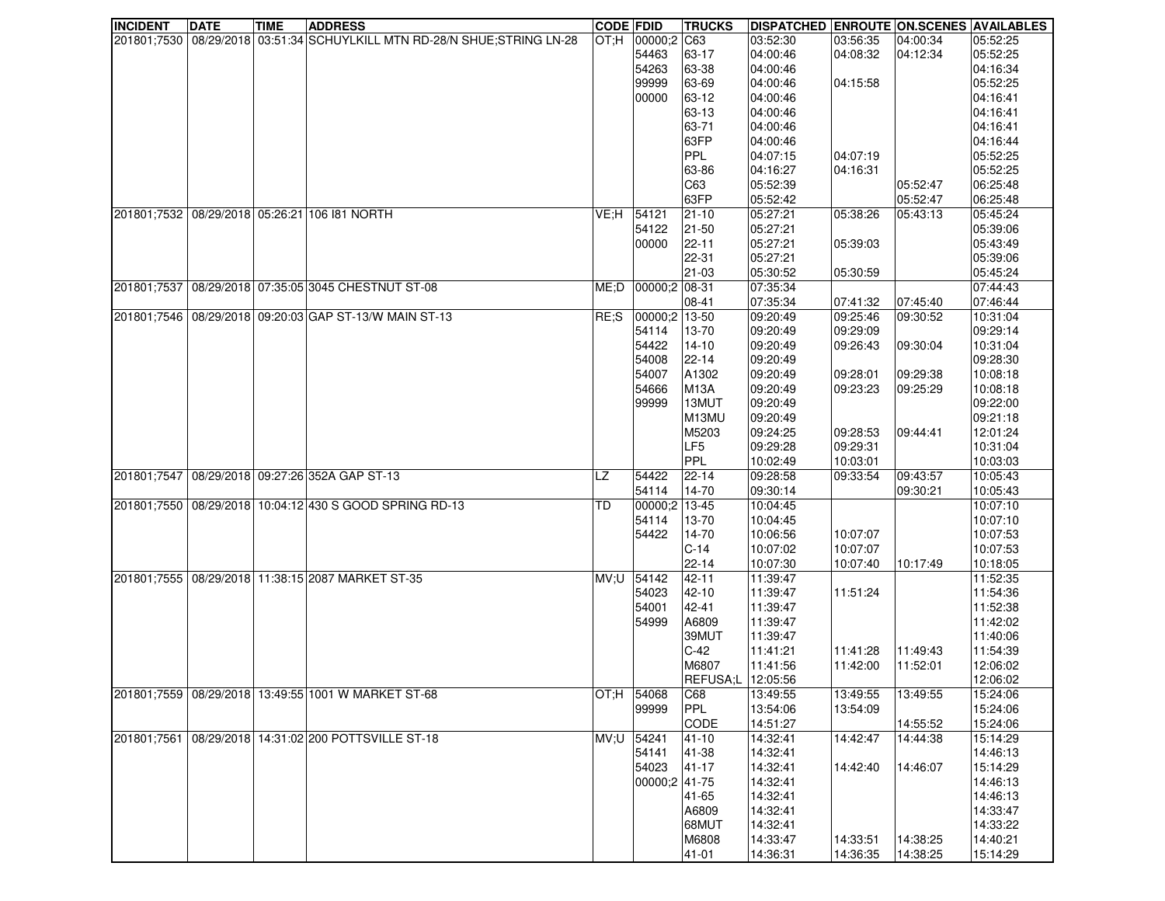| <b>INCIDENT</b> | <b>DATE</b> | <b>TIME</b> | <b>ADDRESS</b>                                                               | <b>CODE FDID</b> |               | <b>TRUCKS</b>     | <b>DISPATCHED ENROUTE ON.SCENES AVAILABLES</b> |          |          |          |
|-----------------|-------------|-------------|------------------------------------------------------------------------------|------------------|---------------|-------------------|------------------------------------------------|----------|----------|----------|
|                 |             |             | 201801;7530   08/29/2018   03:51:34 SCHUYLKILL MTN RD-28/N SHUE;STRING LN-28 | OT:H             | 00000;2 C63   |                   | 03:52:30                                       | 03:56:35 | 04:00:34 | 05:52:25 |
|                 |             |             |                                                                              |                  | 54463         | 63-17             | 04:00:46                                       | 04:08:32 | 04:12:34 | 05:52:25 |
|                 |             |             |                                                                              |                  | 54263         | 63-38             | 04:00:46                                       |          |          | 04:16:34 |
|                 |             |             |                                                                              |                  | 99999         | 63-69             | 04:00:46                                       | 04:15:58 |          | 05:52:25 |
|                 |             |             |                                                                              |                  | 00000         | 63-12             | 04:00:46                                       |          |          | 04:16:41 |
|                 |             |             |                                                                              |                  |               | 63-13             | 04:00:46                                       |          |          | 04:16:41 |
|                 |             |             |                                                                              |                  |               | 63-71             | 04:00:46                                       |          |          | 04:16:41 |
|                 |             |             |                                                                              |                  |               | 63FP              | 04:00:46                                       |          |          | 04:16:44 |
|                 |             |             |                                                                              |                  |               | PPL               | 04:07:15                                       | 04:07:19 |          | 05:52:25 |
|                 |             |             |                                                                              |                  |               | 63-86             | 04:16:27                                       | 04:16:31 |          | 05:52:25 |
|                 |             |             |                                                                              |                  |               | C63               | 05:52:39                                       |          | 05:52:47 | 06:25:48 |
|                 |             |             |                                                                              |                  |               | 63FP              | 05:52:42                                       |          | 05:52:47 | 06:25:48 |
|                 |             |             | 201801;7532 08/29/2018 05:26:21 106 181 NORTH                                | VE:H             | 54121         | $21-10$           | 05:27:21                                       | 05:38:26 | 05:43:13 | 05:45:24 |
|                 |             |             |                                                                              |                  | 54122         | $ 21 - 50$        | 05:27:21                                       |          |          | 05:39:06 |
|                 |             |             |                                                                              |                  | 00000         | 22-11             | 05:27:21                                       | 05:39:03 |          | 05:43:49 |
|                 |             |             |                                                                              |                  |               |                   |                                                |          |          |          |
|                 |             |             |                                                                              |                  |               | 22-31             | 05:27:21                                       |          |          | 05:39:06 |
|                 |             |             |                                                                              |                  |               | 21-03             | 05:30:52                                       | 05:30:59 |          | 05:45:24 |
| 201801;7537     |             |             | 08/29/2018 07:35:05 3045 CHESTNUT ST-08                                      | ME;D             | 00000;2 08-31 |                   | 07:35:34                                       |          |          | 07:44:43 |
|                 |             |             |                                                                              |                  |               | 08-41             | 07:35:34                                       | 07:41:32 | 07:45:40 | 07:46:44 |
|                 |             |             | 201801;7546 08/29/2018 09:20:03 GAP ST-13/W MAIN ST-13                       | RE;S             | 00000;2 13-50 |                   | 09:20:49                                       | 09:25:46 | 09:30:52 | 10:31:04 |
|                 |             |             |                                                                              |                  | 54114         | 13-70             | 09:20:49                                       | 09:29:09 |          | 09:29:14 |
|                 |             |             |                                                                              |                  | 54422         | $14-10$           | 09:20:49                                       | 09:26:43 | 09:30:04 | 10:31:04 |
|                 |             |             |                                                                              |                  | 54008         | 22-14             | 09:20:49                                       |          |          | 09:28:30 |
|                 |             |             |                                                                              |                  | 54007         | A1302             | 09:20:49                                       | 09:28:01 | 09:29:38 | 10:08:18 |
|                 |             |             |                                                                              |                  | 54666         | <b>M13A</b>       | 09:20:49                                       | 09:23:23 | 09:25:29 | 10:08:18 |
|                 |             |             |                                                                              |                  | 99999         | 13MUT             | 09:20:49                                       |          |          | 09:22:00 |
|                 |             |             |                                                                              |                  |               | M13MU             | 09:20:49                                       |          |          | 09:21:18 |
|                 |             |             |                                                                              |                  |               | M5203             | 09:24:25                                       | 09:28:53 | 09:44:41 | 12:01:24 |
|                 |             |             |                                                                              |                  |               | LF <sub>5</sub>   | 09:29:28                                       | 09:29:31 |          | 10:31:04 |
|                 |             |             |                                                                              |                  |               | PPL               | 10:02:49                                       | 10:03:01 |          | 10:03:03 |
| 201801;7547     |             |             | 08/29/2018 09:27:26 352A GAP ST-13                                           | LZ               | 54422         | 22-14             | 09:28:58                                       | 09:33:54 | 09:43:57 | 10:05:43 |
|                 |             |             |                                                                              |                  | 54114         | 14-70             | 09:30:14                                       |          | 09:30:21 | 10:05:43 |
|                 |             |             | 201801;7550   08/29/2018   10:04:12 430 S GOOD SPRING RD-13                  | TD               | 00000;2 13-45 |                   | 10:04:45                                       |          |          | 10:07:10 |
|                 |             |             |                                                                              |                  | 54114         | 13-70             | 10:04:45                                       |          |          | 10:07:10 |
|                 |             |             |                                                                              |                  | 54422         | 14-70             | 10:06:56                                       | 10:07:07 |          | 10:07:53 |
|                 |             |             |                                                                              |                  |               | $C-14$            | 10:07:02                                       | 10:07:07 |          | 10:07:53 |
|                 |             |             |                                                                              |                  |               | 22-14             | 10:07:30                                       | 10:07:40 | 10:17:49 | 10:18:05 |
| 201801;7555     |             |             | 08/29/2018 11:38:15 2087 MARKET ST-35                                        | MV:U             | 54142         | 42-11             | 11:39:47                                       |          |          | 11:52:35 |
|                 |             |             |                                                                              |                  | 54023         | 42-10             | 11:39:47                                       | 11:51:24 |          | 11:54:36 |
|                 |             |             |                                                                              |                  | 54001         | 42-41             | 11:39:47                                       |          |          | 11:52:38 |
|                 |             |             |                                                                              |                  | 54999         | A6809             | 11:39:47                                       |          |          | 11:42:02 |
|                 |             |             |                                                                              |                  |               | 39MUT             | 11:39:47                                       |          |          | 11:40:06 |
|                 |             |             |                                                                              |                  |               | $C-42$            | 11:41:21                                       | 11:41:28 | 11:49:43 | 11:54:39 |
|                 |             |             |                                                                              |                  |               | M6807             | 11:41:56                                       | 11:42:00 | 11:52:01 | 12:06:02 |
|                 |             |             |                                                                              |                  |               | REFUSA;L 12:05:56 |                                                |          |          | 12:06:02 |
|                 |             |             | 201801;7559   08/29/2018   13:49:55   1001 W MARKET ST-68                    | H:TO             | 54068         | C68               | 13:49:55                                       | 13:49:55 | 13:49:55 | 15:24:06 |
|                 |             |             |                                                                              |                  | 99999         | PPL               | 13:54:06                                       | 13:54:09 |          | 15:24:06 |
|                 |             |             |                                                                              |                  |               | CODE              | 14:51:27                                       |          | 14:55:52 | 15:24:06 |
| 201801;7561     |             |             | 08/29/2018 14:31:02 200 POTTSVILLE ST-18                                     | UV;U             | 54241         | 41-10             | 14:32:41                                       | 14:42:47 | 14:44:38 | 15:14:29 |
|                 |             |             |                                                                              |                  |               |                   |                                                |          |          |          |
|                 |             |             |                                                                              |                  | 54141         | 41-38             | 14:32:41                                       |          |          | 14:46:13 |
|                 |             |             |                                                                              |                  | 54023         | 41-17             | 14:32:41                                       | 14:42:40 | 14:46:07 | 15:14:29 |
|                 |             |             |                                                                              |                  | 00000;2 41-75 |                   | 14:32:41                                       |          |          | 14:46:13 |
|                 |             |             |                                                                              |                  |               | 41-65             | 14:32:41                                       |          |          | 14:46:13 |
|                 |             |             |                                                                              |                  |               | A6809             | 14:32:41                                       |          |          | 14:33:47 |
|                 |             |             |                                                                              |                  |               | 68MUT             | 14:32:41                                       |          |          | 14:33:22 |
|                 |             |             |                                                                              |                  |               | M6808             | 14:33:47                                       | 14:33:51 | 14:38:25 | 14:40:21 |
|                 |             |             |                                                                              |                  |               | 41-01             | 14:36:31                                       | 14:36:35 | 14:38:25 | 15:14:29 |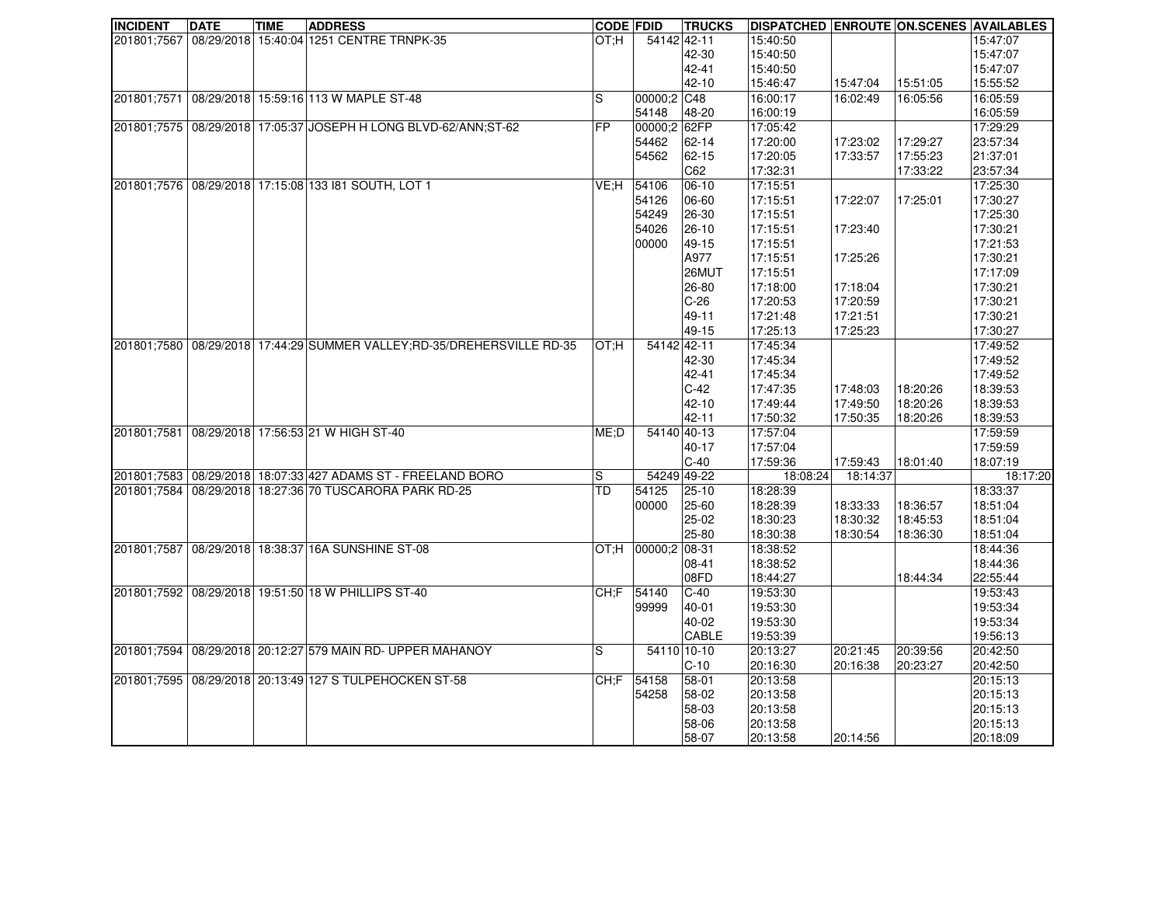| <b>INCIDENT</b> | <b>DATE</b> | <b>TIME</b> | <b>ADDRESS</b>                                                         | <b>CODE FDID</b> |                       | <b>TRUCKS</b> | DISPATCHED ENROUTE ON SCENES AVAILABLES |          |          |          |
|-----------------|-------------|-------------|------------------------------------------------------------------------|------------------|-----------------------|---------------|-----------------------------------------|----------|----------|----------|
| 201801;7567     |             |             | 08/29/2018 15:40:04 1251 CENTRE TRNPK-35                               | OT:H             |                       | 54142 42-11   | 15:40:50                                |          |          | 15:47:07 |
|                 |             |             |                                                                        |                  |                       | 42-30         | 15:40:50                                |          |          | 15:47:07 |
|                 |             |             |                                                                        |                  |                       | 42-41         | 15:40:50                                |          |          | 15:47:07 |
|                 |             |             |                                                                        |                  |                       | $42 - 10$     | 15:46:47                                | 15:47:04 | 15:51:05 | 15:55:52 |
|                 |             |             | 201801;7571 08/29/2018 15:59:16 113 W MAPLE ST-48                      | lS.              | 00000:2 C48           |               | 16:00:17                                | 16:02:49 | 16:05:56 | 16:05:59 |
|                 |             |             |                                                                        |                  | 54148                 | 48-20         | 16:00:19                                |          |          | 16:05:59 |
|                 |             |             | 201801;7575 08/29/2018 17:05:37 JOSEPH H LONG BLVD-62/ANN;ST-62        | FP               | 00000;2 62FP          |               | 17:05:42                                |          |          | 17:29:29 |
|                 |             |             |                                                                        |                  | 54462                 | $62 - 14$     | 17:20:00                                | 17:23:02 | 17:29:27 | 23:57:34 |
|                 |             |             |                                                                        |                  | 54562                 | $62 - 15$     | 17:20:05                                | 17:33:57 | 17:55:23 | 21:37:01 |
|                 |             |             |                                                                        |                  |                       | C62           | 17:32:31                                |          | 17:33:22 | 23:57:34 |
|                 |             |             | 201801;7576 08/29/2018 17:15:08 133 181 SOUTH, LOT 1                   | VE:H             | 54106                 | $06-10$       | 17:15:51                                |          |          | 17:25:30 |
|                 |             |             |                                                                        |                  | 54126                 | 06-60         | 17:15:51                                | 17:22:07 | 17:25:01 | 17:30:27 |
|                 |             |             |                                                                        |                  | 54249                 | 26-30         | 17:15:51                                |          |          | 17:25:30 |
|                 |             |             |                                                                        |                  | 54026                 | 26-10         | 17:15:51                                | 17:23:40 |          | 17:30:21 |
|                 |             |             |                                                                        |                  | 00000                 | 49-15         | 17:15:51                                |          |          | 17:21:53 |
|                 |             |             |                                                                        |                  |                       | A977          | 17:15:51                                | 17:25:26 |          | 17:30:21 |
|                 |             |             |                                                                        |                  |                       | 26MUT         | 17:15:51                                |          |          | 17:17:09 |
|                 |             |             |                                                                        |                  |                       | 26-80         | 17:18:00                                | 17:18:04 |          | 17:30:21 |
|                 |             |             |                                                                        |                  |                       | $C-26$        | 17:20:53                                | 17:20:59 |          | 17:30:21 |
|                 |             |             |                                                                        |                  |                       | 49-11         | 17:21:48                                | 17:21:51 |          | 17:30:21 |
|                 |             |             |                                                                        |                  |                       | 49-15         | 17:25:13                                | 17:25:23 |          | 17:30:27 |
|                 |             |             | 201801;7580 08/29/2018 17:44:29 SUMMER VALLEY;RD-35/DREHERSVILLE RD-35 | <b>H</b> :TO     |                       | 54142 42-11   | 17:45:34                                |          |          | 17:49:52 |
|                 |             |             |                                                                        |                  |                       | 42-30         | 17:45:34                                |          |          | 17:49:52 |
|                 |             |             |                                                                        |                  |                       | 42-41         | 17:45:34                                |          |          | 17:49:52 |
|                 |             |             |                                                                        |                  |                       | $C-42$        | 17:47:35                                | 17:48:03 | 18:20:26 | 18:39:53 |
|                 |             |             |                                                                        |                  |                       | $42 - 10$     | 17:49:44                                | 17:49:50 | 18:20:26 | 18:39:53 |
|                 |             |             |                                                                        |                  |                       | 42-11         | 17:50:32                                | 17:50:35 | 18:20:26 | 18:39:53 |
| 201801;7581     |             |             | 08/29/2018 17:56:53 21 W HIGH ST-40                                    | ME;D             |                       | 54140 40-13   | 17:57:04                                |          |          | 17:59:59 |
|                 |             |             |                                                                        |                  |                       | 40-17         | 17:57:04                                |          |          | 17:59:59 |
|                 |             |             |                                                                        |                  |                       | $C-40$        | 17:59:36                                | 17:59:43 | 18:01:40 | 18:07:19 |
|                 |             |             | 201801;7583   08/29/2018   18:07:33 427 ADAMS ST - FREELAND BORO       | ls               |                       | 54249 49-22   | 18:08:24                                | 18:14:37 |          | 18:17:20 |
|                 |             |             | 201801:7584 08/29/2018 18:27:36 70 TUSCARORA PARK RD-25                | TD               | 54125                 | 25-10         | 18:28:39                                |          |          | 18:33:37 |
|                 |             |             |                                                                        |                  | 00000                 | 25-60         | 18:28:39                                | 18:33:33 | 18:36:57 | 18:51:04 |
|                 |             |             |                                                                        |                  |                       | $25-02$       | 18:30:23                                | 18:30:32 | 18:45:53 | 18:51:04 |
|                 |             |             |                                                                        |                  |                       | 25-80         | 18:30:38                                | 18:30:54 | 18:36:30 | 18:51:04 |
| 201801;7587     |             |             | 08/29/2018 18:38:37 16A SUNSHINE ST-08                                 |                  | $OT; H$ 00000;2 08-31 |               | 18:38:52                                |          |          | 18:44:36 |
|                 |             |             |                                                                        |                  |                       | 08-41         | 18:38:52                                |          |          | 18:44:36 |
|                 |             |             |                                                                        |                  |                       | 08FD          | 18:44:27                                |          | 18:44:34 | 22:55:44 |
|                 |             |             | 201801;7592 08/29/2018 19:51:50 18 W PHILLIPS ST-40                    | CH: F            | 54140                 | $C-40$        | 19:53:30                                |          |          | 19:53:43 |
|                 |             |             |                                                                        |                  | 99999                 | $40 - 01$     | 19:53:30                                |          |          | 19:53:34 |
|                 |             |             |                                                                        |                  |                       | 40-02         | 19:53:30                                |          |          | 19:53:34 |
|                 |             |             |                                                                        |                  |                       | CABLE         | 19:53:39                                |          |          | 19:56:13 |
|                 |             |             | 201801;7594 08/29/2018 20:12:27 579 MAIN RD- UPPER MAHANOY             | lS.              |                       | 54110 10-10   | 20:13:27                                | 20:21:45 | 20:39:56 | 20:42:50 |
|                 |             |             |                                                                        |                  |                       | $C-10$        | 20:16:30                                | 20:16:38 | 20:23:27 | 20:42:50 |
|                 |             |             | 201801;7595 08/29/2018 20:13:49 127 S TULPEHOCKEN ST-58                | CH: F            | 54158                 | 58-01         | 20:13:58                                |          |          | 20:15:13 |
|                 |             |             |                                                                        |                  | 54258                 | 58-02         | 20:13:58                                |          |          | 20:15:13 |
|                 |             |             |                                                                        |                  |                       | 58-03         | 20:13:58                                |          |          | 20:15:13 |
|                 |             |             |                                                                        |                  |                       | 58-06         | 20:13:58                                |          |          | 20:15:13 |
|                 |             |             |                                                                        |                  |                       | 58-07         | 20:13:58                                | 20:14:56 |          | 20:18:09 |